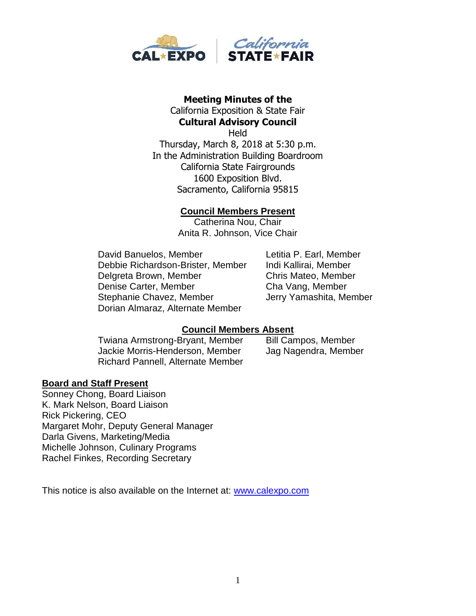

# **Meeting Minutes of the**  California Exposition & State Fair

**Cultural Advisory Council Held** Thursday, March 8, 2018 at 5:30 p.m. In the Administration Building Boardroom California State Fairgrounds 1600 Exposition Blvd. Sacramento, California 95815

## **Council Members Present**

Catherina Nou, Chair Anita R. Johnson, Vice Chair

David Banuelos, Member Letitia P. Earl, Member Debbie Richardson-Brister, Member Indi Kallirai, Member Delgreta Brown, Member Chris Mateo, Member Denise Carter, Member Cha Vang, Member Stephanie Chavez, Member **Jerry Yamashita, Member** Dorian Almaraz, Alternate Member

# **Council Members Absent**

Twiana Armstrong-Bryant, Member Bill Campos, Member Jackie Morris-Henderson, Member Jag Nagendra, Member Richard Pannell, Alternate Member

### **Board and Staff Present**

Sonney Chong, Board Liaison K. Mark Nelson, Board Liaison Rick Pickering, CEO Margaret Mohr, Deputy General Manager Darla Givens, Marketing/Media Michelle Johnson, Culinary Programs Rachel Finkes, Recording Secretary

This notice is also available on the Internet at: [www.calexpo.com](http://www.calexpo.com/)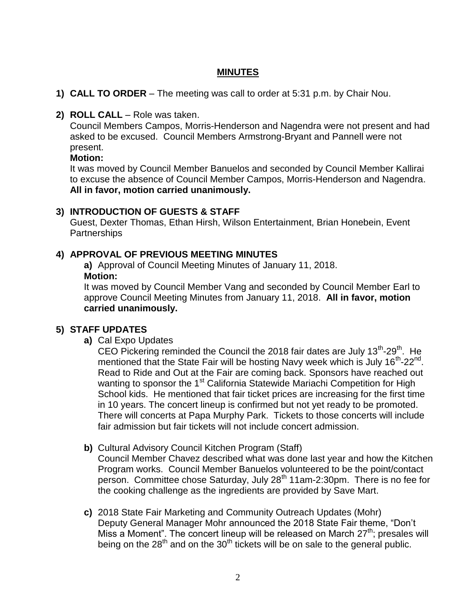# **MINUTES**

- **1) CALL TO ORDER** The meeting was call to order at 5:31 p.m. by Chair Nou.
- **2) ROLL CALL**  Role was taken.

Council Members Campos, Morris-Henderson and Nagendra were not present and had asked to be excused. Council Members Armstrong-Bryant and Pannell were not present.

### **Motion:**

It was moved by Council Member Banuelos and seconded by Council Member Kallirai to excuse the absence of Council Member Campos, Morris-Henderson and Nagendra. **All in favor, motion carried unanimously.**

## **3) INTRODUCTION OF GUESTS & STAFF**

Guest, Dexter Thomas, Ethan Hirsh, Wilson Entertainment, Brian Honebein, Event **Partnerships** 

## **4) APPROVAL OF PREVIOUS MEETING MINUTES**

**a)** Approval of Council Meeting Minutes of January 11, 2018. **Motion:**

It was moved by Council Member Vang and seconded by Council Member Earl to approve Council Meeting Minutes from January 11, 2018. **All in favor, motion carried unanimously.**

# **5) STAFF UPDATES**

**a)** Cal Expo Updates

CEO Pickering reminded the Council the 2018 fair dates are July  $13<sup>th</sup>$ -29<sup>th</sup>. He mentioned that the State Fair will be hosting Navy week which is July 16<sup>th</sup>-22<sup>nd</sup>. Read to Ride and Out at the Fair are coming back. Sponsors have reached out wanting to sponsor the 1<sup>st</sup> California Statewide Mariachi Competition for High School kids. He mentioned that fair ticket prices are increasing for the first time in 10 years. The concert lineup is confirmed but not yet ready to be promoted. There will concerts at Papa Murphy Park. Tickets to those concerts will include fair admission but fair tickets will not include concert admission.

**b)** Cultural Advisory Council Kitchen Program (Staff)

Council Member Chavez described what was done last year and how the Kitchen Program works. Council Member Banuelos volunteered to be the point/contact person. Committee chose Saturday, July 28<sup>th</sup> 11am-2:30pm. There is no fee for the cooking challenge as the ingredients are provided by Save Mart.

**c)** 2018 State Fair Marketing and Community Outreach Updates (Mohr) Deputy General Manager Mohr announced the 2018 State Fair theme, "Don't Miss a Moment". The concert lineup will be released on March  $27<sup>th</sup>$ ; presales will being on the  $28<sup>th</sup>$  and on the  $30<sup>th</sup>$  tickets will be on sale to the general public.